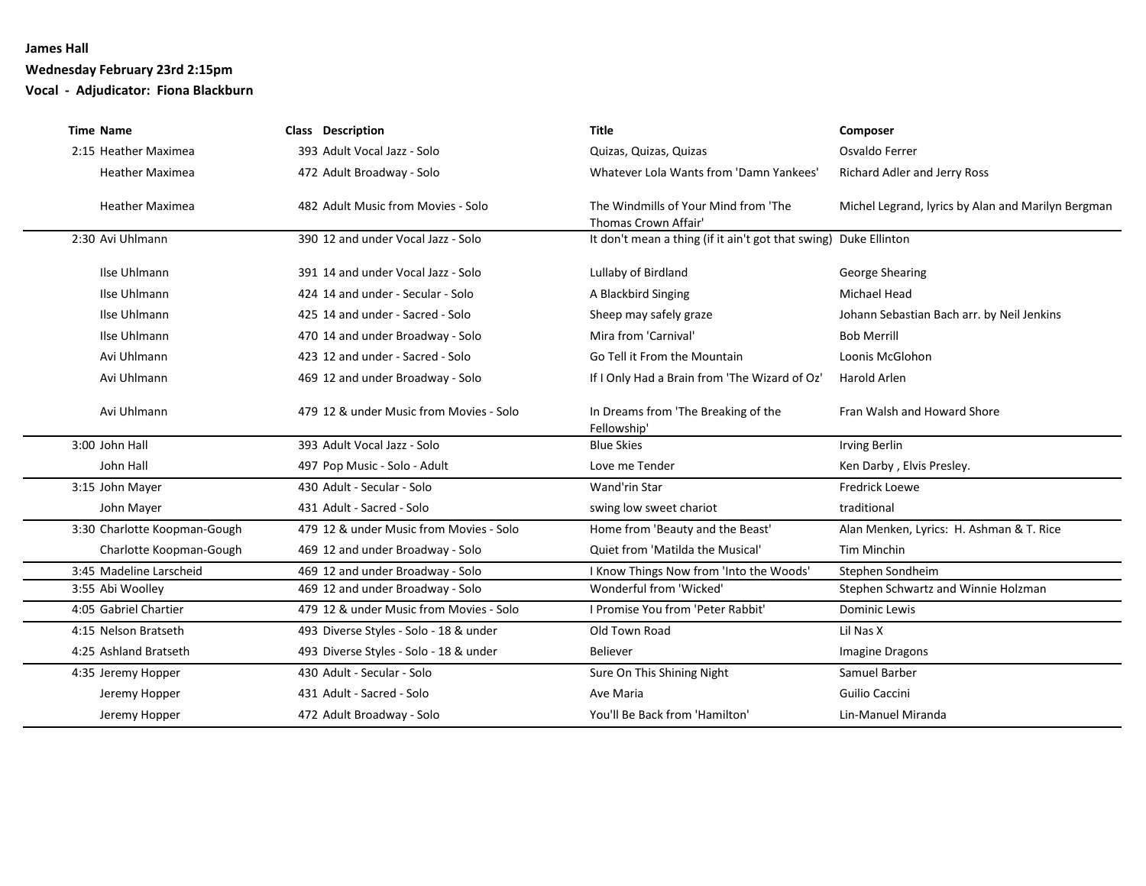### **Wednesday February 23rd 2:15pm**

**Vocal - Adjudicator: Fiona Blackburn**

| <b>Time Name</b>             | <b>Class Description</b>                | <b>Title</b>                                                     | Composer                                           |
|------------------------------|-----------------------------------------|------------------------------------------------------------------|----------------------------------------------------|
| 2:15 Heather Maximea         | 393 Adult Vocal Jazz - Solo             | Quizas, Quizas, Quizas                                           | Osvaldo Ferrer                                     |
| <b>Heather Maximea</b>       | 472 Adult Broadway - Solo               | Whatever Lola Wants from 'Damn Yankees'                          | Richard Adler and Jerry Ross                       |
| <b>Heather Maximea</b>       | 482 Adult Music from Movies - Solo      | The Windmills of Your Mind from 'The<br>Thomas Crown Affair'     | Michel Legrand, lyrics by Alan and Marilyn Bergman |
| 2:30 Avi Uhlmann             | 390 12 and under Vocal Jazz - Solo      | It don't mean a thing (if it ain't got that swing) Duke Ellinton |                                                    |
| Ilse Uhlmann                 | 391 14 and under Vocal Jazz - Solo      | Lullaby of Birdland                                              | <b>George Shearing</b>                             |
| Ilse Uhlmann                 | 424 14 and under - Secular - Solo       | A Blackbird Singing                                              | <b>Michael Head</b>                                |
| Ilse Uhlmann                 | 425 14 and under - Sacred - Solo        | Sheep may safely graze                                           | Johann Sebastian Bach arr. by Neil Jenkins         |
| Ilse Uhlmann                 | 470 14 and under Broadway - Solo        | Mira from 'Carnival'                                             | <b>Bob Merrill</b>                                 |
| Avi Uhlmann                  | 423 12 and under - Sacred - Solo        | Go Tell it From the Mountain                                     | Loonis McGlohon                                    |
| Avi Uhlmann                  | 469 12 and under Broadway - Solo        | If I Only Had a Brain from 'The Wizard of Oz'                    | <b>Harold Arlen</b>                                |
| Avi Uhlmann                  | 479 12 & under Music from Movies - Solo | In Dreams from 'The Breaking of the<br>Fellowship'               | Fran Walsh and Howard Shore                        |
| 3:00 John Hall               | 393 Adult Vocal Jazz - Solo             | <b>Blue Skies</b>                                                | <b>Irving Berlin</b>                               |
| John Hall                    | 497 Pop Music - Solo - Adult            | Love me Tender                                                   | Ken Darby, Elvis Presley.                          |
| 3:15 John Mayer              | 430 Adult - Secular - Solo              | Wand'rin Star                                                    | <b>Fredrick Loewe</b>                              |
| John Mayer                   | 431 Adult - Sacred - Solo               | swing low sweet chariot                                          | traditional                                        |
| 3:30 Charlotte Koopman-Gough | 479 12 & under Music from Movies - Solo | Home from 'Beauty and the Beast'                                 | Alan Menken, Lyrics: H. Ashman & T. Rice           |
| Charlotte Koopman-Gough      | 469 12 and under Broadway - Solo        | Quiet from 'Matilda the Musical'                                 | Tim Minchin                                        |
| 3:45 Madeline Larscheid      | 469 12 and under Broadway - Solo        | I Know Things Now from 'Into the Woods'                          | Stephen Sondheim                                   |
| 3:55 Abi Woolley             | 469 12 and under Broadway - Solo        | Wonderful from 'Wicked'                                          | Stephen Schwartz and Winnie Holzman                |
| 4:05 Gabriel Chartier        | 479 12 & under Music from Movies - Solo | I Promise You from 'Peter Rabbit'                                | Dominic Lewis                                      |
| 4:15 Nelson Bratseth         | 493 Diverse Styles - Solo - 18 & under  | Old Town Road                                                    | Lil Nas X                                          |
| 4:25 Ashland Bratseth        | 493 Diverse Styles - Solo - 18 & under  | <b>Believer</b>                                                  | <b>Imagine Dragons</b>                             |
| 4:35 Jeremy Hopper           | 430 Adult - Secular - Solo              | Sure On This Shining Night                                       | Samuel Barber                                      |
| Jeremy Hopper                | 431 Adult - Sacred - Solo               | Ave Maria                                                        | <b>Guilio Caccini</b>                              |
| Jeremy Hopper                | 472 Adult Broadway - Solo               | You'll Be Back from 'Hamilton'                                   | Lin-Manuel Miranda                                 |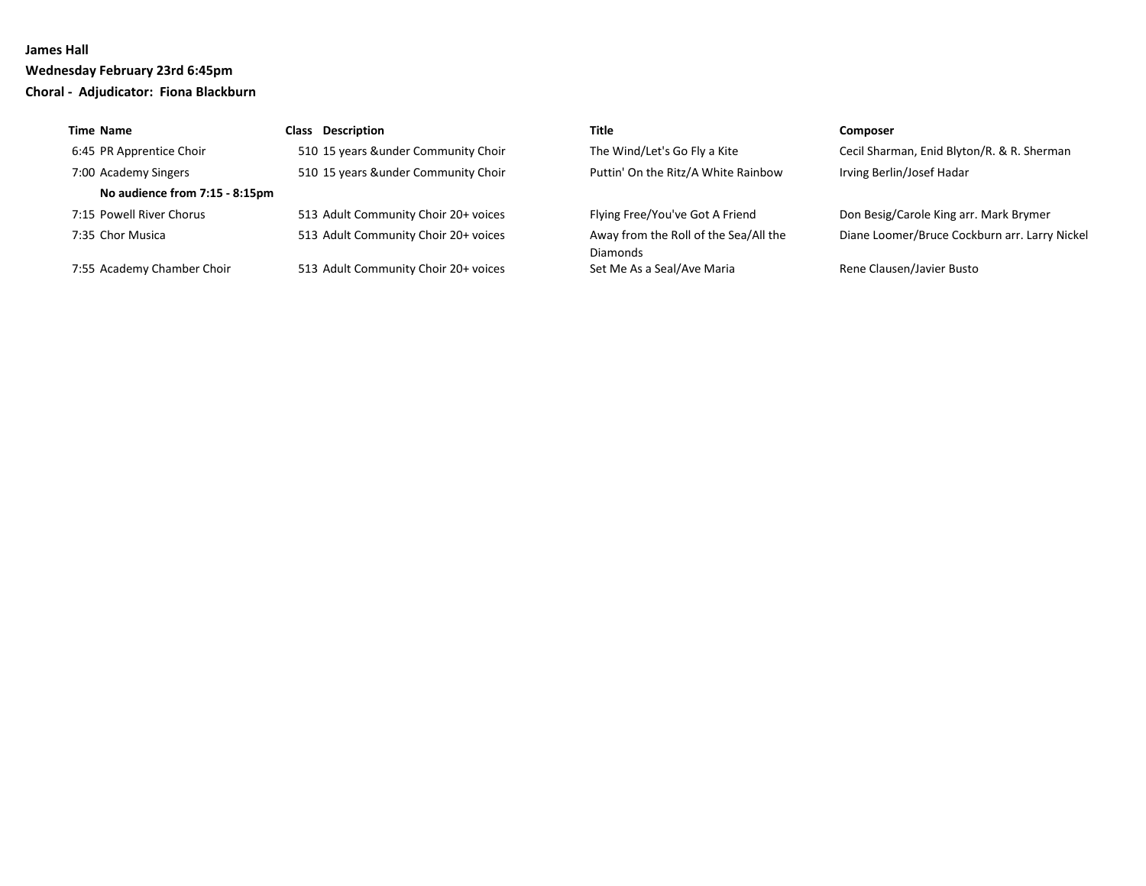**Wednesday February 23rd 6:45pm Choral - Adjudicator: Fiona Blackburn**

| <b>Time Name</b>               | <b>Class</b> Description             | Title                                             | <b>Composer</b>                               |
|--------------------------------|--------------------------------------|---------------------------------------------------|-----------------------------------------------|
| 6:45 PR Apprentice Choir       | 510 15 years &under Community Choir  | The Wind/Let's Go Fly a Kite                      | Cecil Sharman, Enid Blyton/R. & R. Sherman    |
| 7:00 Academy Singers           | 510 15 years &under Community Choir  | Puttin' On the Ritz/A White Rainbow               | Irving Berlin/Josef Hadar                     |
| No audience from 7:15 - 8:15pm |                                      |                                                   |                                               |
| 7:15 Powell River Chorus       | 513 Adult Community Choir 20+ voices | Flying Free/You've Got A Friend                   | Don Besig/Carole King arr. Mark Brymer        |
| 7:35 Chor Musica               | 513 Adult Community Choir 20+ voices | Away from the Roll of the Sea/All the<br>Diamonds | Diane Loomer/Bruce Cockburn arr. Larry Nickel |
| 7:55 Academy Chamber Choir     | 513 Adult Community Choir 20+ voices | Set Me As a Seal/Ave Maria                        | Rene Clausen/Javier Busto                     |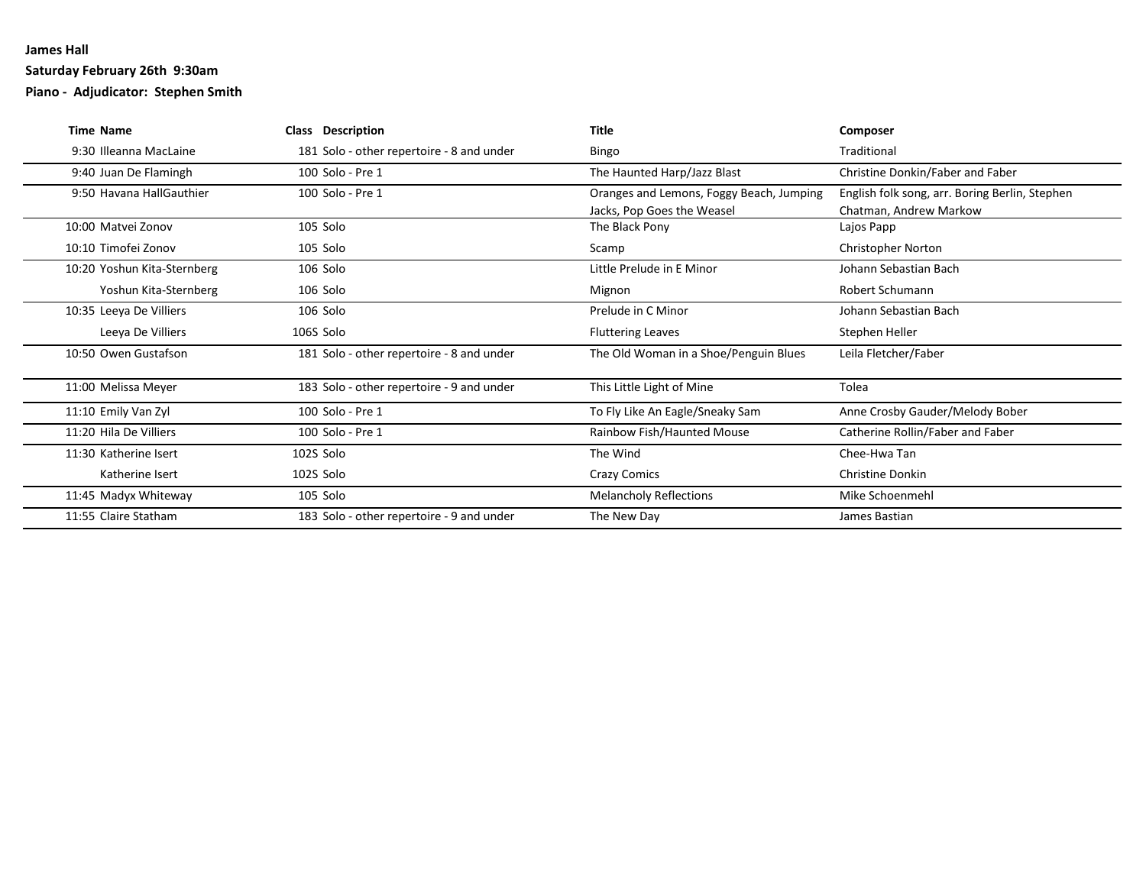### **Saturday February 26th 9:30am**

**Piano - Adjudicator: Stephen Smith**

| <b>Time Name</b>            | <b>Class Description</b>                  | <b>Title</b>                                                           | Composer                                                                 |
|-----------------------------|-------------------------------------------|------------------------------------------------------------------------|--------------------------------------------------------------------------|
| 9:30 Illeanna MacLaine      | 181 Solo - other repertoire - 8 and under | Bingo                                                                  | Traditional                                                              |
| 9:40 Juan De Flamingh       | 100 Solo - Pre 1                          | The Haunted Harp/Jazz Blast                                            | Christine Donkin/Faber and Faber                                         |
| 9:50 Havana HallGauthier    | 100 Solo - Pre 1                          | Oranges and Lemons, Foggy Beach, Jumping<br>Jacks, Pop Goes the Weasel | English folk song, arr. Boring Berlin, Stephen<br>Chatman, Andrew Markow |
| 10:00 Matyei Zonov          | 105 Solo                                  | The Black Pony                                                         | Lajos Papp                                                               |
| 10:10 Timofei Zonov         | 105 Solo                                  | Scamp                                                                  | <b>Christopher Norton</b>                                                |
| 10:20 Yoshun Kita-Sternberg | 106 Solo                                  | Little Prelude in E Minor                                              | Johann Sebastian Bach                                                    |
| Yoshun Kita-Sternberg       | 106 Solo                                  | Mignon                                                                 | Robert Schumann                                                          |
| 10:35 Leeya De Villiers     | 106 Solo                                  | Prelude in C Minor                                                     | Johann Sebastian Bach                                                    |
| Leeya De Villiers           | 106S Solo                                 | <b>Fluttering Leaves</b>                                               | Stephen Heller                                                           |
| 10:50 Owen Gustafson        | 181 Solo - other repertoire - 8 and under | The Old Woman in a Shoe/Penguin Blues                                  | Leila Fletcher/Faber                                                     |
| 11:00 Melissa Meyer         | 183 Solo - other repertoire - 9 and under | This Little Light of Mine                                              | Tolea                                                                    |
| 11:10 Emily Van Zyl         | 100 Solo - Pre 1                          | To Fly Like An Eagle/Sneaky Sam                                        | Anne Crosby Gauder/Melody Bober                                          |
| 11:20 Hila De Villiers      | 100 Solo - Pre 1                          | Rainbow Fish/Haunted Mouse                                             | Catherine Rollin/Faber and Faber                                         |
| 11:30 Katherine Isert       | 102S Solo                                 | The Wind                                                               | Chee-Hwa Tan                                                             |
| Katherine Isert             | 102S Solo                                 | <b>Crazy Comics</b>                                                    | <b>Christine Donkin</b>                                                  |
| 11:45 Madyx Whiteway        | 105 Solo                                  | <b>Melancholy Reflections</b>                                          | Mike Schoenmehl                                                          |
| 11:55 Claire Statham        | 183 Solo - other repertoire - 9 and under | The New Day                                                            | James Bastian                                                            |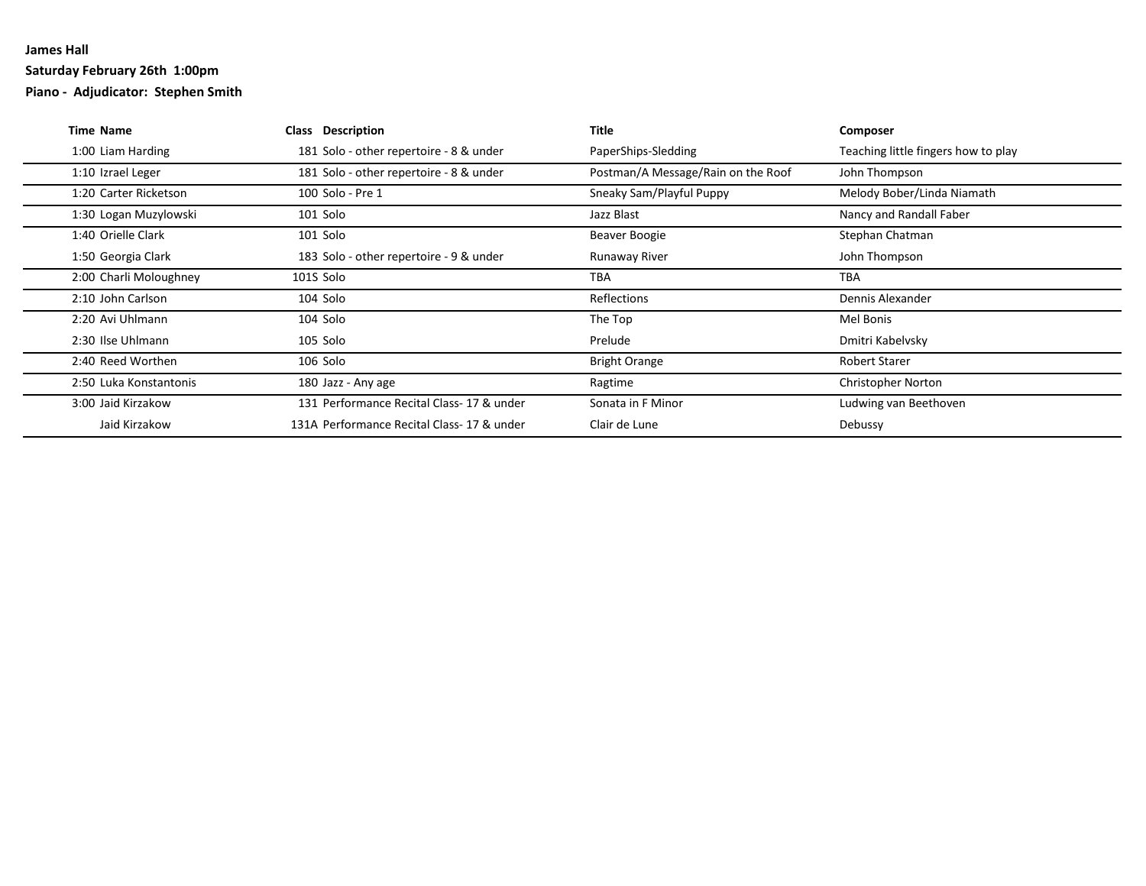### **Saturday February 26th 1:00pm**

**Piano - Adjudicator: Stephen Smith**

| <b>Time Name</b>       | Class Description                         | Title                              | Composer                            |
|------------------------|-------------------------------------------|------------------------------------|-------------------------------------|
| 1:00 Liam Harding      | 181 Solo - other repertoire - 8 & under   | PaperShips-Sledding                | Teaching little fingers how to play |
| 1:10 Izrael Leger      | 181 Solo - other repertoire - 8 & under   | Postman/A Message/Rain on the Roof | John Thompson                       |
| 1:20 Carter Ricketson  | 100 Solo - Pre 1                          | Sneaky Sam/Playful Puppy           | Melody Bober/Linda Niamath          |
| 1:30 Logan Muzylowski  | 101 Solo                                  | Jazz Blast                         | Nancy and Randall Faber             |
| 1:40 Orielle Clark     | 101 Solo                                  | Beaver Boogie                      | Stephan Chatman                     |
| 1:50 Georgia Clark     | 183 Solo - other repertoire - 9 & under   | Runaway River                      | John Thompson                       |
| 2:00 Charli Moloughney | 101S Solo                                 | <b>TBA</b>                         | <b>TBA</b>                          |
| 2:10 John Carlson      | 104 Solo                                  | <b>Reflections</b>                 | Dennis Alexander                    |
| 2:20 Avi Uhlmann       | 104 Solo                                  | The Top                            | Mel Bonis                           |
| 2:30 Ilse Uhlmann      | 105 Solo                                  | Prelude                            | Dmitri Kabelvsky                    |
| 2:40 Reed Worthen      | 106 Solo                                  | <b>Bright Orange</b>               | <b>Robert Starer</b>                |
| 2:50 Luka Konstantonis | 180 Jazz - Any age                        | Ragtime                            | <b>Christopher Norton</b>           |
| 3:00 Jaid Kirzakow     | 131 Performance Recital Class-17 & under  | Sonata in F Minor                  | Ludwing van Beethoven               |
| Jaid Kirzakow          | 131A Performance Recital Class-17 & under | Clair de Lune                      | Debussy                             |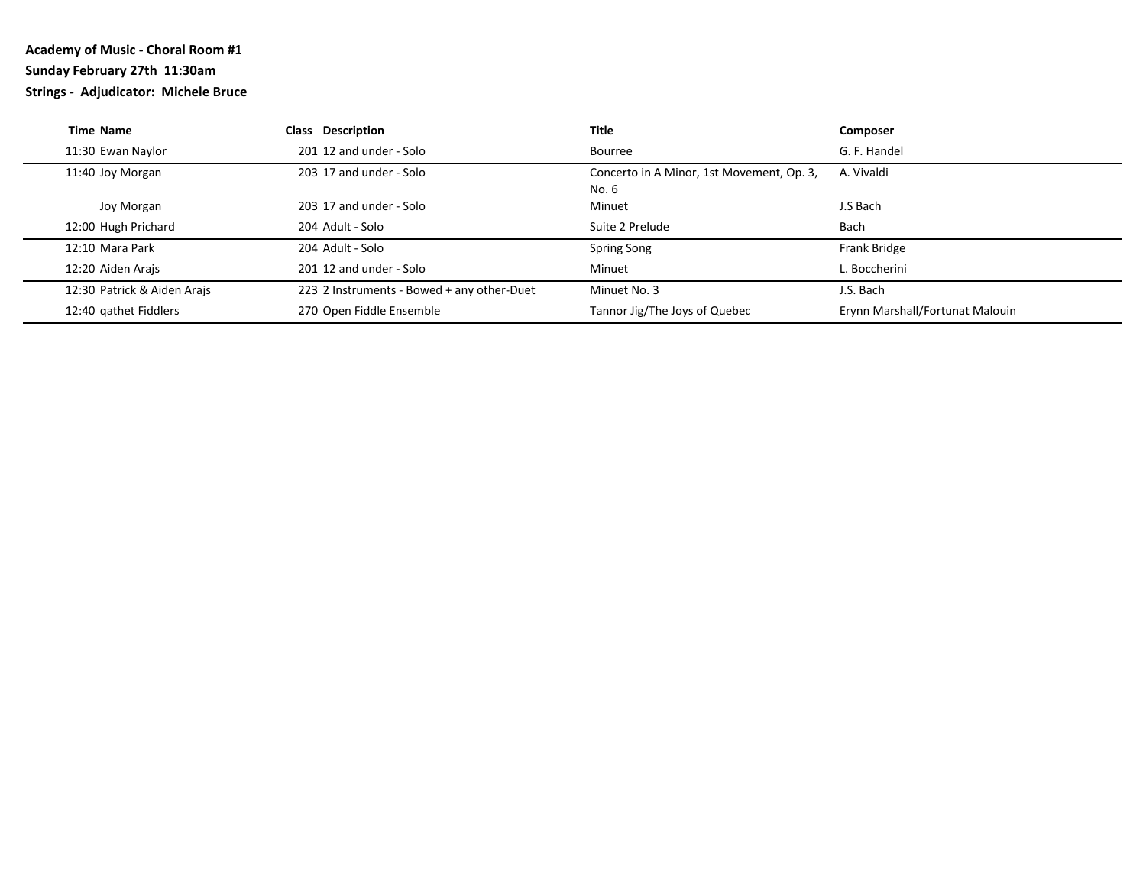# **Academy of Music - Choral Room #1 Sunday February 27th 11:30am**

**Strings - Adjudicator: Michele Bruce**

| <b>Time Name</b>            | <b>Class Description</b>                   | Title                                     | Composer                        |
|-----------------------------|--------------------------------------------|-------------------------------------------|---------------------------------|
| 11:30 Ewan Naylor           | 201 12 and under - Solo                    | Bourree                                   | G. F. Handel                    |
| 11:40 Joy Morgan            | 203 17 and under - Solo                    | Concerto in A Minor, 1st Movement, Op. 3, | A. Vivaldi                      |
|                             |                                            | No. 6                                     |                                 |
| Joy Morgan                  | 203 17 and under - Solo                    | Minuet                                    | J.S Bach                        |
| 12:00 Hugh Prichard         | 204 Adult - Solo                           | Suite 2 Prelude                           | Bach                            |
| 12:10 Mara Park             | 204 Adult - Solo                           | Spring Song                               | Frank Bridge                    |
| 12:20 Aiden Arajs           | 201 12 and under - Solo                    | Minuet                                    | L. Boccherini                   |
| 12:30 Patrick & Aiden Arajs | 223 2 Instruments - Bowed + any other-Duet | Minuet No. 3                              | J.S. Bach                       |
| 12:40 gathet Fiddlers       | 270 Open Fiddle Ensemble                   | Tannor Jig/The Joys of Quebec             | Erynn Marshall/Fortunat Malouin |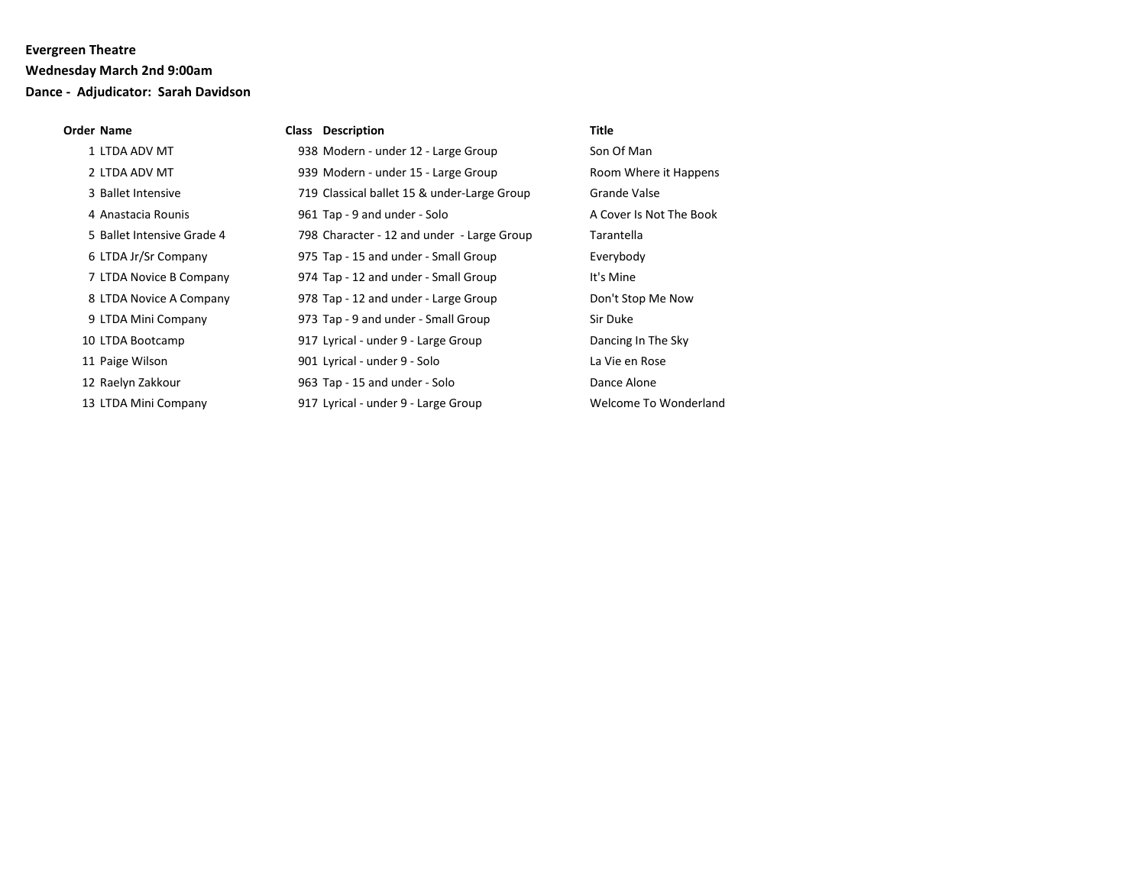### **Wednesday March 2nd 9:00am**

### **Dance - Adjudicator: Sarah Davidson**

#### **Order Name Class Description Title**

| 1 LTDA ADV MT              | 938 Modern - under 12 - Large Group         | Son Of Man              |
|----------------------------|---------------------------------------------|-------------------------|
| 2 LTDA ADV MT              | 939 Modern - under 15 - Large Group         | Room Where it Happens   |
| 3 Ballet Intensive         | 719 Classical ballet 15 & under-Large Group | <b>Grande Valse</b>     |
| 4 Anastacia Rounis         | 961 Tap - 9 and under - Solo                | A Cover Is Not The Book |
| 5 Ballet Intensive Grade 4 | 798 Character - 12 and under - Large Group  | Tarantella              |
| 6 LTDA Jr/Sr Company       | 975 Tap - 15 and under - Small Group        | Everybody               |
| 7 LTDA Novice B Company    | 974 Tap - 12 and under - Small Group        | It's Mine               |
| 8 LTDA Novice A Company    | 978 Tap - 12 and under - Large Group        | Don't Stop Me Now       |
| 9 LTDA Mini Company        | 973 Tap - 9 and under - Small Group         | Sir Duke                |
| 10 LTDA Bootcamp           | 917 Lyrical - under 9 - Large Group         | Dancing In The Sky      |
| 11 Paige Wilson            | 901 Lyrical - under 9 - Solo                | La Vie en Rose          |
| 12 Raelyn Zakkour          | 963 Tap - 15 and under - Solo               | Dance Alone             |
| 13 LTDA Mini Company       | 917 Lyrical - under 9 - Large Group         | Welcome To Wonderland   |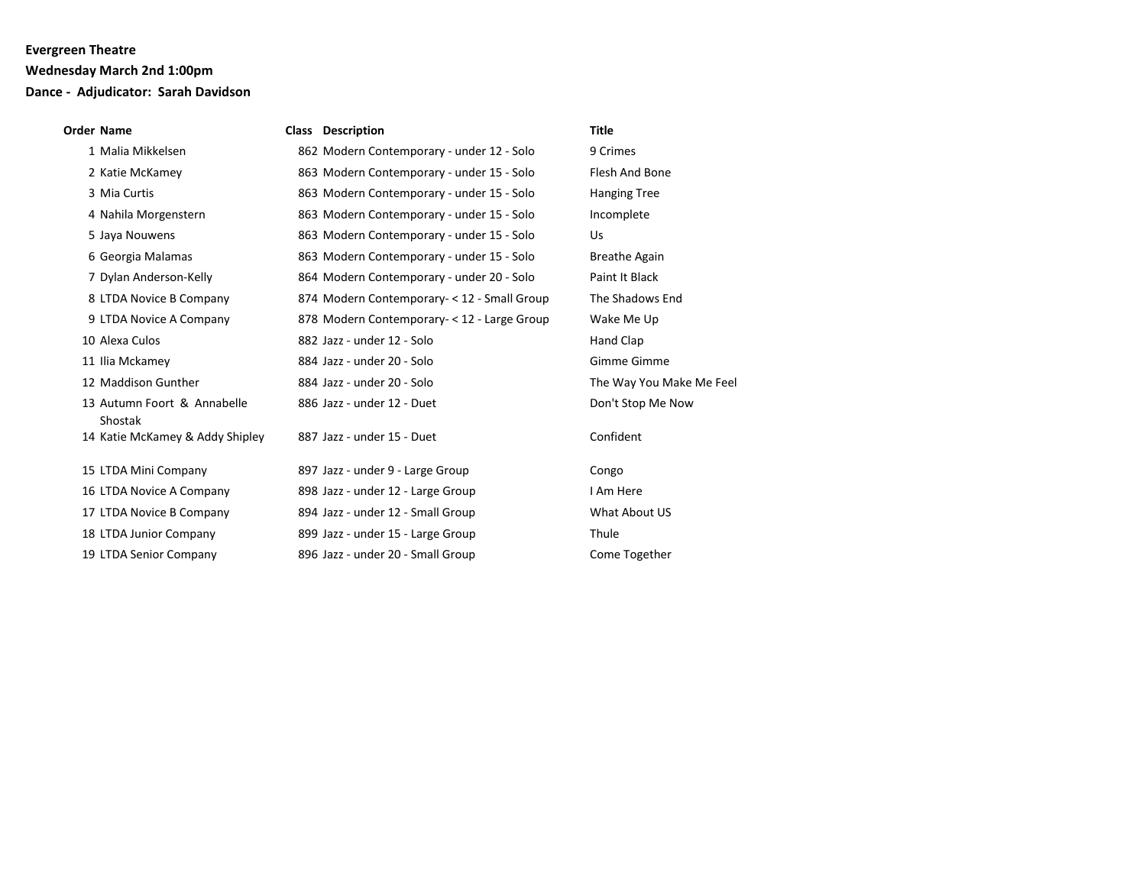### **Wednesday March 2nd 1:00pm**

# **Dance - Adjudicator: Sarah Davidson**

#### **Order Name Class Description Title**

| 1 Malia Mikkelsen                      | 862 Modern Contemporary - under 12 - Solo    | 9 Crimes                 |
|----------------------------------------|----------------------------------------------|--------------------------|
| 2 Katie McKamey                        | 863 Modern Contemporary - under 15 - Solo    | Flesh And Bone           |
| 3 Mia Curtis                           | 863 Modern Contemporary - under 15 - Solo    | <b>Hanging Tree</b>      |
| 4 Nahila Morgenstern                   | 863 Modern Contemporary - under 15 - Solo    | Incomplete               |
| 5 Jaya Nouwens                         | 863 Modern Contemporary - under 15 - Solo    | Us                       |
| 6 Georgia Malamas                      | 863 Modern Contemporary - under 15 - Solo    | <b>Breathe Again</b>     |
| 7 Dylan Anderson-Kelly                 | 864 Modern Contemporary - under 20 - Solo    | Paint It Black           |
| 8 LTDA Novice B Company                | 874 Modern Contemporary - < 12 - Small Group | The Shadows End          |
| 9 LTDA Novice A Company                | 878 Modern Contemporary- < 12 - Large Group  | Wake Me Up               |
| 10 Alexa Culos                         | 882 Jazz - under 12 - Solo                   | Hand Clap                |
| 11 Ilia Mckamey                        | 884 Jazz - under 20 - Solo                   | Gimme Gimme              |
| 12 Maddison Gunther                    | 884 Jazz - under 20 - Solo                   | The Way You Make Me Feel |
| 13 Autumn Foort & Annabelle<br>Shostak | 886 Jazz - under 12 - Duet                   | Don't Stop Me Now        |
| 14 Katie McKamey & Addy Shipley        | 887 Jazz - under 15 - Duet                   | Confident                |
| 15 LTDA Mini Company                   | 897 Jazz - under 9 - Large Group             | Congo                    |
| 16 LTDA Novice A Company               | 898 Jazz - under 12 - Large Group            | I Am Here                |
| 17 LTDA Novice B Company               | 894 Jazz - under 12 - Small Group            | What About US            |
| 18 LTDA Junior Company                 | 899 Jazz - under 15 - Large Group            | Thule                    |
| 19 LTDA Senior Company                 | 896 Jazz - under 20 - Small Group            | Come Together            |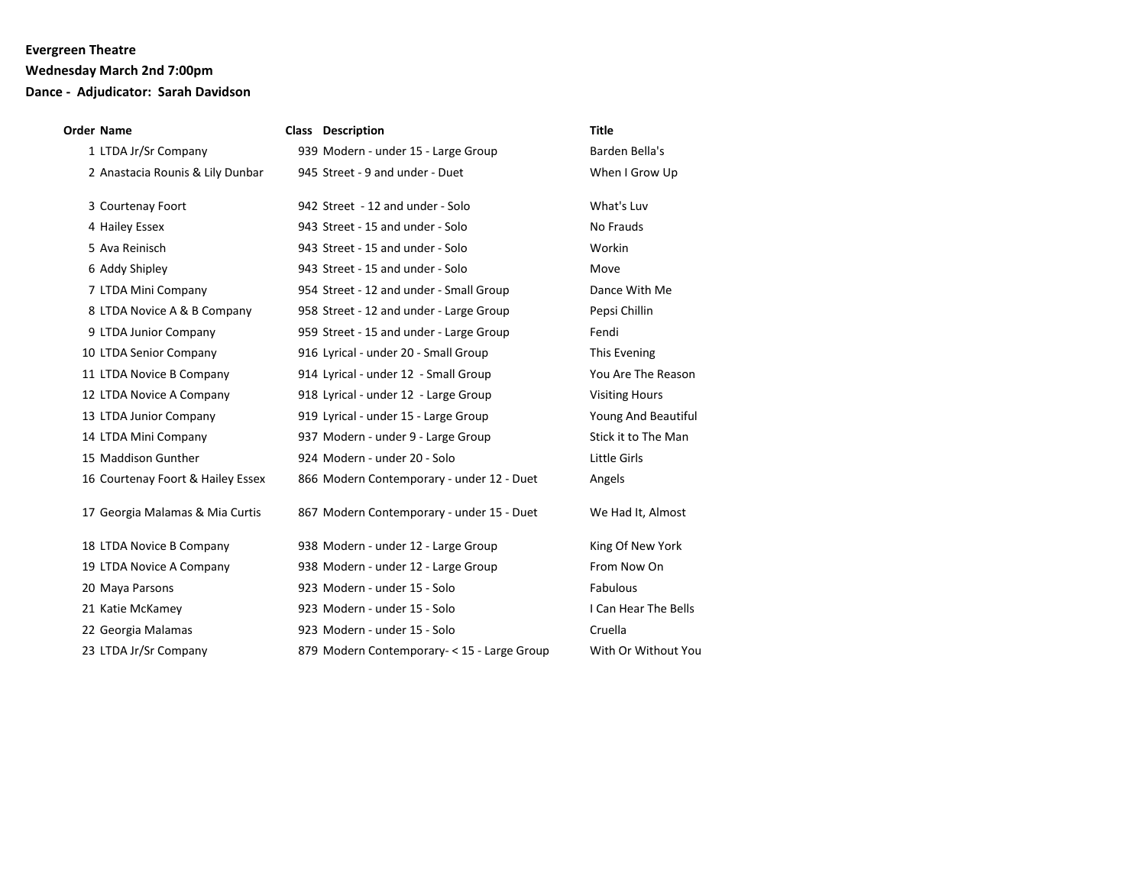### **Wednesday March 2nd 7:00pm**

## **Dance - Adjudicator: Sarah Davidson**

| <b>Order Name</b>                 | <b>Class Description</b>                    | <b>Title</b>          |
|-----------------------------------|---------------------------------------------|-----------------------|
| 1 LTDA Jr/Sr Company              | 939 Modern - under 15 - Large Group         | Barden Bella's        |
| 2 Anastacia Rounis & Lily Dunbar  | 945 Street - 9 and under - Duet             | When I Grow Up        |
| 3 Courtenay Foort                 | 942 Street - 12 and under - Solo            | What's Luv            |
| 4 Hailey Essex                    | 943 Street - 15 and under - Solo            | No Frauds             |
| 5 Ava Reinisch                    | 943 Street - 15 and under - Solo            | Workin                |
| 6 Addy Shipley                    | 943 Street - 15 and under - Solo            | Move                  |
| 7 LTDA Mini Company               | 954 Street - 12 and under - Small Group     | Dance With Me         |
| 8 LTDA Novice A & B Company       | 958 Street - 12 and under - Large Group     | Pepsi Chillin         |
| 9 LTDA Junior Company             | 959 Street - 15 and under - Large Group     | Fendi                 |
| 10 LTDA Senior Company            | 916 Lyrical - under 20 - Small Group        | This Evening          |
| 11 LTDA Novice B Company          | 914 Lyrical - under 12 - Small Group        | You Are The Reason    |
| 12 LTDA Novice A Company          | 918 Lyrical - under 12 - Large Group        | <b>Visiting Hours</b> |
| 13 LTDA Junior Company            | 919 Lyrical - under 15 - Large Group        | Young And Beautiful   |
| 14 LTDA Mini Company              | 937 Modern - under 9 - Large Group          | Stick it to The Man   |
| 15 Maddison Gunther               | 924 Modern - under 20 - Solo                | Little Girls          |
| 16 Courtenay Foort & Hailey Essex | 866 Modern Contemporary - under 12 - Duet   | Angels                |
| 17 Georgia Malamas & Mia Curtis   | 867 Modern Contemporary - under 15 - Duet   | We Had It, Almost     |
| 18 LTDA Novice B Company          | 938 Modern - under 12 - Large Group         | King Of New York      |
| 19 LTDA Novice A Company          | 938 Modern - under 12 - Large Group         | From Now On           |
| 20 Maya Parsons                   | 923 Modern - under 15 - Solo                | Fabulous              |
| 21 Katie McKamey                  | 923 Modern - under 15 - Solo                | I Can Hear The Bells  |
| 22 Georgia Malamas                | 923 Modern - under 15 - Solo                | Cruella               |
| 23 LTDA Jr/Sr Company             | 879 Modern Contemporary- < 15 - Large Group | With Or Without You   |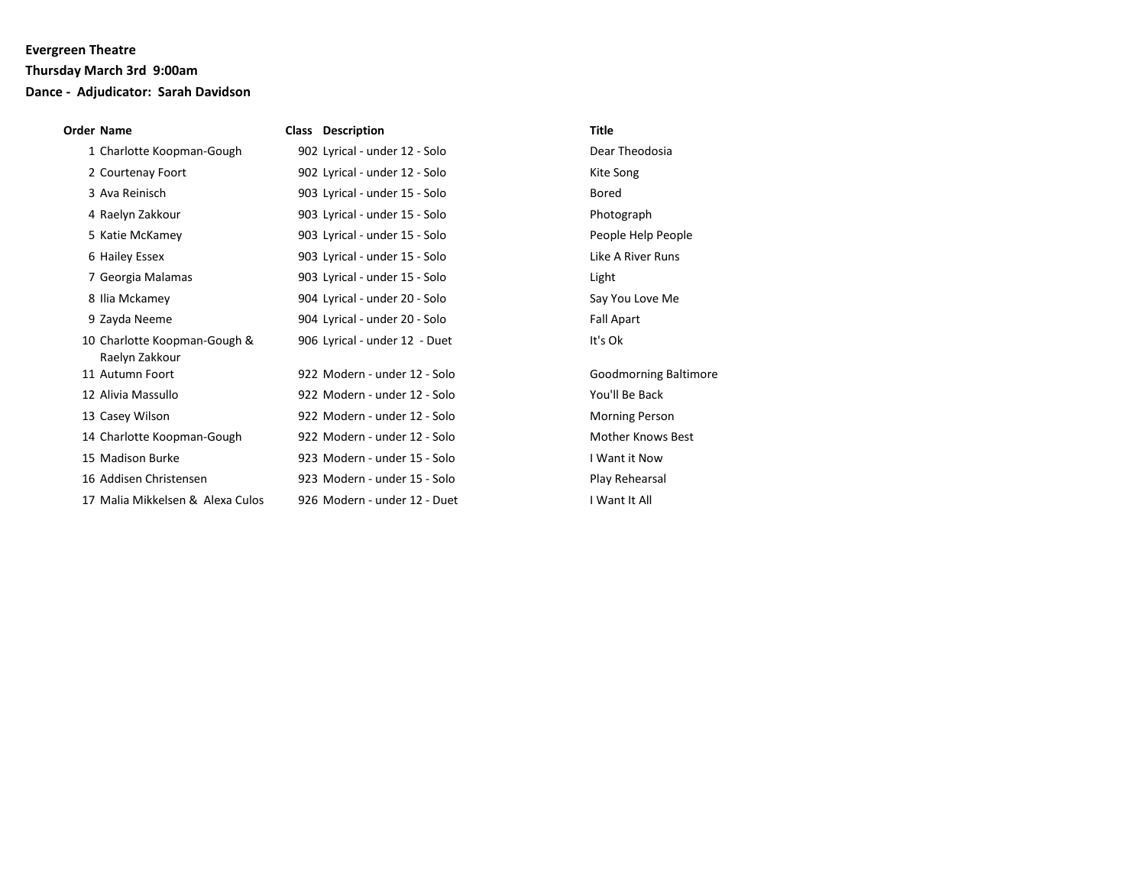### **Thursday March 3rd 9:00am**

# **Dance - Adjudicator: Sarah Davidson**

| Order Name                                     | <b>Class Description</b>      | Title                        |
|------------------------------------------------|-------------------------------|------------------------------|
| 1 Charlotte Koopman-Gough                      | 902 Lyrical - under 12 - Solo | Dear Theodosia               |
| 2 Courtenay Foort                              | 902 Lyrical - under 12 - Solo | Kite Song                    |
| 3 Ava Reinisch                                 | 903 Lyrical - under 15 - Solo | Bored                        |
| 4 Raelyn Zakkour                               | 903 Lyrical - under 15 - Solo | Photograph                   |
| 5 Katie McKamey                                | 903 Lyrical - under 15 - Solo | People Help People           |
| 6 Hailey Essex                                 | 903 Lyrical - under 15 - Solo | Like A River Runs            |
| 7 Georgia Malamas                              | 903 Lyrical - under 15 - Solo | Light                        |
| 8 Ilia Mckamey                                 | 904 Lyrical - under 20 - Solo | Say You Love Me              |
| 9 Zayda Neeme                                  | 904 Lyrical - under 20 - Solo | <b>Fall Apart</b>            |
| 10 Charlotte Koopman-Gough &<br>Raelyn Zakkour | 906 Lyrical - under 12 - Duet | It's Ok                      |
| 11 Autumn Foort                                | 922 Modern - under 12 - Solo  | <b>Goodmorning Baltimore</b> |
| 12 Alivia Massullo                             | 922 Modern - under 12 - Solo  | You'll Be Back               |
| 13 Casey Wilson                                | 922 Modern - under 12 - Solo  | <b>Morning Person</b>        |
| 14 Charlotte Koopman-Gough                     | 922 Modern - under 12 - Solo  | <b>Mother Knows Best</b>     |
| 15 Madison Burke                               | 923 Modern - under 15 - Solo  | I Want it Now                |
| 16 Addisen Christensen                         | 923 Modern - under 15 - Solo  | Play Rehearsal               |
| 17 Malia Mikkelsen & Alexa Culos               | 926 Modern - under 12 - Duet  | I Want It All                |
|                                                |                               |                              |